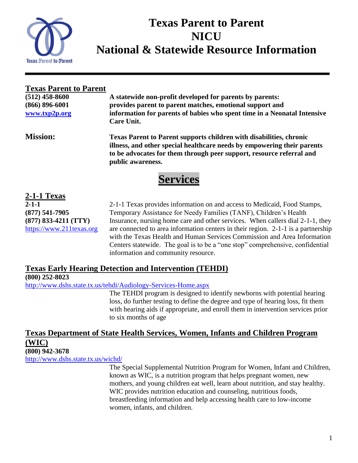

# **Texas Parent to Parent NICU National & Statewide Resource Information**

**Texas Parent to Parent** 

**(512) 458-8600 A statewide non-profit developed for parents by parents: (866) 896-6001 provides parent to parent matches, emotional support and [www.txp2p.org](http://www.txp2p.org/) information for parents of babies who spent time in a Neonatal Intensive Care Unit.**

**Mission: Texas Parent to Parent supports children with disabilities, chronic illness, and other special healthcare needs by empowering their parents to be advocates for them through peer support, resource referral and public awareness.**

# **Services**

**2-1-1 Texas**

**2-1-1** 2-1-1 Texas provides information on and access to Medicaid, Food Stamps, **(877) 541-7905** Temporary Assistance for Needy Families (TANF), Children's Health **(877) 833-4211 (TTY)** Insurance, nursing home care and other services. When callers dial 2-1-1, they [https://www.211texas.org](https://www.211texas.org/) are connected to area information centers in their region. 2-1-1 is a partnership with the Texas Health and Human Services Commission and Area Information Centers statewide. The goal is to be a "one stop" comprehensive, confidential information and community resource.

### **Texas Early Hearing Detection and Intervention (TEHDI)**

**(800) 252-8023**

<http://www.dshs.state.tx.us/tehdi/Audiology-Services-Home.aspx>

The TEHDI program is designed to identify newborns with potential hearing loss, do further testing to define the degree and type of hearing loss, fit them with hearing aids if appropriate, and enroll them in intervention services prior to six months of age

#### **Texas Department of State Health Services, Women, Infants and Children Program (WIC) (800) 942-3678**

<http://www.dshs.state.tx.us/wichd/>

The Special Supplemental Nutrition Program for Women, Infant and Children, known as WIC, is a nutrition program that helps pregnant women, new mothers, and young children eat well, learn about nutrition, and stay healthy. WIC provides nutrition education and counseling, nutritious foods, breastfeeding information and help accessing health care to low-income women, infants, and children.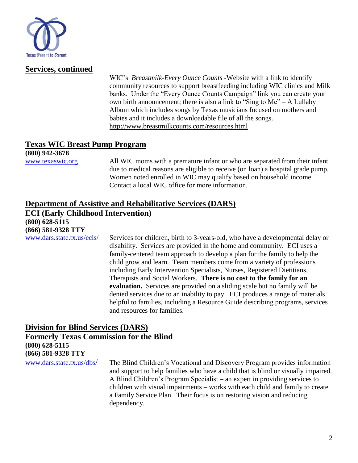

#### **Services, continued**

WIC's *Breastmilk*-*Every Ounce Counts* -Website with a link to identify community resources to support breastfeeding including WIC clinics and Milk banks. Under the "Every Ounce Counts Campaign" link you can create your own birth announcement; there is also a link to "Sing to Me" – A Lullaby Album which includes songs by Texas musicians focused on mothers and babies and it includes a downloadable file of all the songs. <http://www.breastmilkcounts.com/resources.html>

#### **Texas WIC Breast Pump Program**

**(800) 942-3678**

[www.texaswic.org](http://www.texaswic.org/) All WIC moms with a premature infant or who are separated from their infant due to medical reasons are eligible to receive (on loan) a hospital grade pump. Women noted enrolled in WIC may qualify based on household income. Contact a local WIC office for more information.

#### **Department of Assistive and Rehabilitative Services (DARS) ECI (Early Childhood Intervention) (800) 628-5115 (866) 581-9328 TTY**

[www.dars.state.tx.us/ecis/](http://www.dars.state.tx.us/ecis/) Services for children, birth to 3-years-old, who have a developmental delay or disability. Services are provided in the home and community. ECI uses a family-centered team approach to develop a plan for the family to help the child grow and learn. Team members come from a variety of professions including Early Intervention Specialists, Nurses, Registered Dietitians, Therapists and Social Workers. **There is no cost to the family for an evaluation.** Services are provided on a sliding scale but no family will be denied services due to an inability to pay. ECI produces a range of materials helpful to families, including a Resource Guide describing programs, services and resources for families.

#### **Division for Blind Services (DARS) Formerly Texas Commission for the Blind (800) 628-5115**

**(866) 581-9328 TTY**

[www.dars.state.tx.us/dbs](http://www.dars.state.tx.us/dbs/)/ The Blind Children's Vocational and Discovery Program provides information and support to help families who have a child that is blind or visually impaired. A Blind Children's Program Specialist – an expert in providing services to children with visual impairments – works with each child and family to create a Family Service Plan. Their focus is on restoring vision and reducing dependency.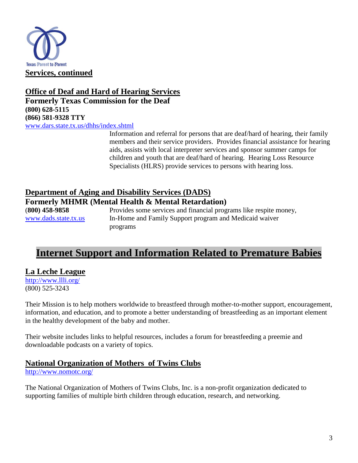

#### **Office of Deaf and Hard of Hearing Services Formerly Texas Commission for the Deaf (800) 628-5115 (866) 581-9328 TTY**

[www.dars.state.tx.us/dhhs/index.shtml](http://www.dars.state.tx.us/dhhs/index.shtml)

Information and referral for persons that are deaf/hard of hearing, their family members and their service providers. Provides financial assistance for hearing aids, assists with local interpreter services and sponsor summer camps for children and youth that are deaf/hard of hearing. Hearing Loss Resource Specialists (HLRS) provide services to persons with hearing loss.

#### **Department of Aging and Disability Services (DADS)**

**Formerly MHMR (Mental Health & Mental Retardation)**

(**800) 458-9858** Provides some services and financial programs like respite money, [www.dads.state.tx.us](http://www.dads.state.tx.us/) In-Home and Family Support program and Medicaid waiver programs

## **Internet Support and Information Related to Premature Babies**

#### **La Leche League**

<http://www.llli.org/> (800) 525-3243

Their Mission is to help mothers worldwide to breastfeed through mother-to-mother support, encouragement, information, and education, and to promote a better understanding of breastfeeding as an important element in the healthy development of the baby and mother.

Their website includes links to helpful resources, includes a forum for breastfeeding a preemie and downloadable podcasts on a variety of topics.

#### **National Organization of Mothers of Twins Clubs**

<http://www.nomotc.org/>

The National Organization of Mothers of Twins Clubs, Inc. is a non-profit organization dedicated to supporting families of multiple birth children through education, research, and networking.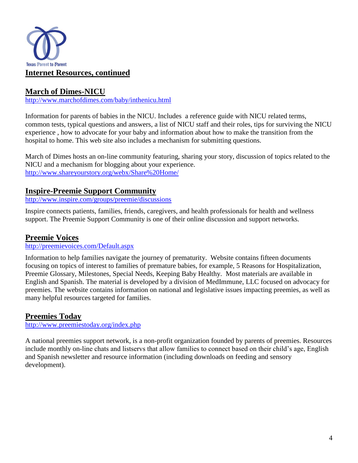

#### **March of Dimes-NICU**

<http://www.marchofdimes.com/baby/inthenicu.html>

Information for parents of babies in the NICU. Includes a reference guide with NICU related terms, common tests, typical questions and answers, a list of NICU staff and their roles, tips for surviving the NICU experience , how to advocate for your baby and information about how to make the transition from the hospital to home. This web site also includes a mechanism for submitting questions.

March of Dimes hosts an on-line community featuring, sharing your story, discussion of topics related to the NICU and a mechanism for blogging about your experience. <http://www.shareyourstory.org/webx/Share%20Home/>

#### **Inspire-Preemie Support Community**

<http://www.inspire.com/groups/preemie/discussions>

Inspire connects patients, families, friends, caregivers, and health professionals for health and wellness support. The Preemie Support Community is one of their online discussion and support networks.

#### **Preemie Voices**

http://preemievoices.com/Default.aspx

Information to help families navigate the journey of prematurity. Website contains fifteen documents focusing on topics of interest to families of premature babies, for example, 5 Reasons for Hospitalization, Preemie Glossary, Milestones, Special Needs, Keeping Baby Healthy. Most materials are available in English and Spanish. The material is developed by a division of MedImmune, LLC focused on advocacy for preemies. The website contains information on national and legislative issues impacting preemies, as well as many helpful resources targeted for families.

#### **Preemies Today**

<http://www.preemiestoday.org/index.php>

A national preemies support network, is a non-profit organization founded by parents of preemies. Resources include monthly on-line chats and listservs that allow families to connect based on their child's age, English and Spanish newsletter and resource information (including downloads on feeding and sensory development).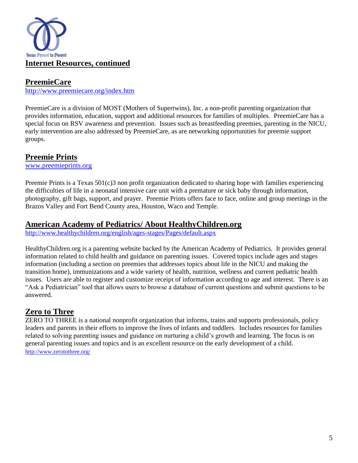

#### **PreemieCare**

http://www.preemiecare.org/index.htm

PreemieCare is a division of MOST (Mothers of Supertwins), Inc. a non-profit parenting organization that provides information, education, support and additional resources for families of multiples. PreemieCare has a special focus on RSV awareness and prevention. Issues such as breastfeeding preemies, parenting in the NICU, early intervention are also addressed by PreemieCare, as are networking opportunities for preemie support groups.

#### **Preemie Prints**

www.preemieprints.org

Preemie Prints is a Texas 501(c)3 non profit organization dedicated to sharing hope with families experiencing the difficulties of life in a neonatal intensive care unit with a premature or sick baby through information, photography, gift bags, support, and prayer. Preemie Prints offers face to face, online and group meetings in the Brazos Valley and Fort Bend County area, Houston, Waco and Temple.

#### **American Academy of Pediatrics/ About HealthyChildren.org**

<http://www.healthychildren.org/english/ages-stages/Pages/default.aspx>

HealthyChildren.org is a parenting website backed by the American Academy of Pediatrics. It provides general information related to child health and guidance on parenting issues. Covered topics include ages and stages information (including a section on preemies that addresses topics about life in the NICU and making the transition home), immunizations and a wide variety of health, nutrition, wellness and current pediatric health issues. Users are able to register and customize receipt of information according to age and interest. There is an "Ask a Pediatrician" tool that allows users to browse a database of current questions and submit questions to be answered.

#### **Zero to Three**

ZERO TO THREE is a national nonprofit organization that informs, trains and supports professionals, policy leaders and parents in their efforts to improve the lives of infants and toddlers. Includes resources for families related to solving parenting issues and guidance on nurturing a child's growth and learning. The focus is on general parenting issues and topics and is an excellent resource on the early development of a child. <http://www.zerotothree.org/>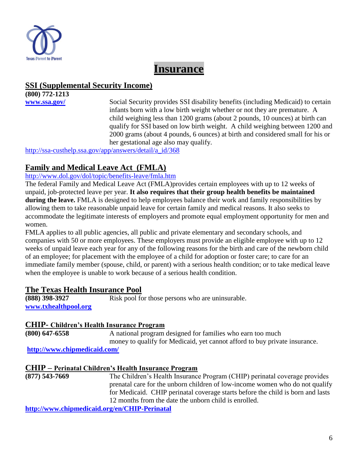

## **Insurance**

#### **SSI (Supplemental Security Income)**

**(800) 772-1213**

**[www.ssa.gov/](http://www.ssa.gov/)** Social Security provides SSI disability benefits (including Medicaid) to certain infants born with a low birth weight whether or not they are premature. A child weighing less than 1200 grams (about 2 pounds, 10 ounces) at birth can qualify for SSI based on low birth weight. A child weighing between 1200 and 2000 grams (about 4 pounds, 6 ounces) at birth and considered small for his or her gestational age also may qualify.

[http://ssa-custhelp.ssa.gov/app/answers/detail/a\\_id/368](http://ssa-custhelp.ssa.gov/app/answers/detail/a_id/368)

#### **Family and Medical Leave Act (FMLA)**

#### <http://www.dol.gov/dol/topic/benefits-leave/fmla.htm>

The federal [Family and Medical Leave Act \(FMLA\)p](http://www.dol.gov/compliance/laws/comp-fmla.htm)rovides certain employees with up to 12 weeks of unpaid, job-protected leave per year. **It also requires that their group health benefits be maintained during the leave.** FMLA is designed to help employees balance their work and family responsibilities by allowing them to take reasonable unpaid leave for certain family and medical reasons. It also seeks to accommodate the legitimate interests of employers and promote equal employment opportunity for men and women.

FMLA applies to all public agencies, all public and private elementary and secondary schools, and companies with 50 or more employees. These employers must provide an eligible employee with up to 12 weeks of unpaid leave each year for any of the following reasons for the birth and care of the newborn child of an employee; for placement with the employee of a child for adoption or foster care; to care for an immediate family member (spouse, child, or parent) with a serious health condition; or to take medical leave when the employee is unable to work because of a serious health condition.

#### **The Texas Health Insurance Pool**

**(888) 398-3927** Risk pool for those persons who are uninsurable. **[www.txhealthpool.org](http://www.txhealthpool.org/)**

#### **CHIP- Children's Health Insurance Program**

**(800) 647-6558** A national program designed for families who earn too much money to qualify for Medicaid, yet cannot afford to buy private insurance.

**<http://www.chipmedicaid.com/>**

#### **CHIP – Perinatal Children's Health Insurance Program**

**(877) 543-7669** The Children's Health Insurance Program (CHIP) perinatal coverage provides prenatal care for the unborn children of low-income women who do not qualify for Medicaid. CHIP perinatal coverage starts before the child is born and lasts 12 months from the date the unborn child is enrolled.

**<http://www.chipmedicaid.org/en/CHIP-Perinatal>**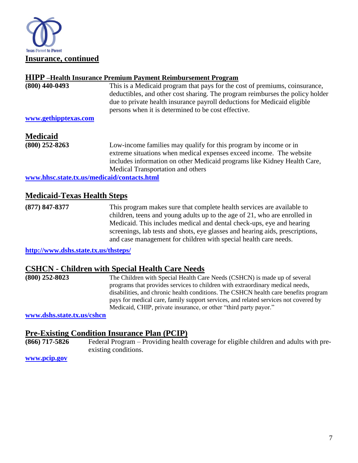

#### **HIPP –Health Insurance Premium Payment Reimbursement Program**

| $(800)$ 440-0493     | This is a Medicaid program that pays for the cost of premiums, coinsurance,   |
|----------------------|-------------------------------------------------------------------------------|
|                      | deductibles, and other cost sharing. The program reimburses the policy holder |
|                      | due to private health insurance payroll deductions for Medicaid eligible      |
|                      | persons when it is determined to be cost effective.                           |
| www.gethipptexas.com |                                                                               |

### **Medicaid**

**(800) 252-8263** Low-income families may qualify for this program by income or in extreme situations when medical expenses exceed income. The website includes information on other Medicaid programs like Kidney Health Care, Medical Transportation and others

**[www.hhsc.state.tx.us/medicaid/contacts.html](http://www.hhsc.state.tx.us/medicaid/contacts.html)**

#### **Medicaid-Texas Health Steps**

**(877) 847-8377** This program makes sure that complete health services are available to children, teens and young adults up to the age of 21, who are enrolled in Medicaid. This includes medical and dental check-ups, eye and hearing screenings, lab tests and shots, eye glasses and hearing aids, prescriptions, and case management for children with special health care needs.

**<http://www.dshs.state.tx.us/thsteps/>**

#### **CSHCN - Children with Special Health Care Needs**

**(800) 252-8023** The Children with Special Health Care Needs (CSHCN) is made up of several programs that provides services to children with extraordinary medical needs, disabilities, and chronic health conditions. The CSHCN health care [benefits](../../../../AppData/Local/Microsoft/Windows/Temporary%20Internet%20Files/Content.Outlook/SQ9G305W/benefits.shtm) program pays for medical care, family support services, and related services not covered by Medicaid, CHIP, private insurance, or other "third party payor."

**[www.dshs.state.tx.us/cshcn](http://www.dshs.state.tx.us/cshcn)**

#### **Pre-Existing Condition Insurance Plan (PCIP)**

**(866) 717-5826** Federal Program – Providing health coverage for eligible children and adults with preexisting conditions.

**[www.pcip.gov](http://www.pcip.gov/)**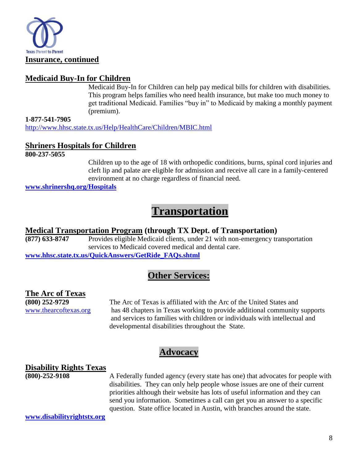

#### **Medicaid Buy-In for Children**

Medicaid Buy-In for Children can help pay medical bills for children with disabilities. This program helps families who need health insurance, but make too much money to get traditional Medicaid. Families "buy in" to Medicaid by making a monthly payment (premium).

**1-877-541-7905** <http://www.hhsc.state.tx.us/Help/HealthCare/Children/MBIC.html>

#### **Shriners Hospitals for Children**

**800-237-5055**

Children up to the age of 18 with orthopedic conditions, burns, spinal cord injuries and cleft lip and palate are eligible for admission and receive all care in a family-centered environment at no charge regardless of financial need.

**www.shrinershq.org/Hospitals**

## **Transportation**

# **Medical Transportation Program (through TX Dept. of Transportation)**

Provides eligible Medicaid clients, under 21 with non-emergency transportation services to Medicaid covered medical and dental care. **[www.hhsc.state.tx.us/QuickAnswers/GetRide\\_FAQs.shtml](http://www.hhsc.state.tx.us/QuickAnswers/GetRide_FAQs.shtml)**

### **Other Services:**

#### **The Arc of Texas**

**(800) 252-9729** The Arc of Texas is affiliated with the Arc of the United States and [www.thearcoftexas.org](http://www.thearcoftexas.org/) has 48 chapters in Texas working to provide additional community supports and services to families with children or individuals with intellectual and developmental disabilities throughout the State.

### **Advocacy**

#### **Disability Rights Texas**

**(800)-252-9108** A Federally funded agency (every state has one) that advocates for people with disabilities. They can only help people whose issues are one of their current priorities although their website has lots of useful information and they can send you information. Sometimes a call can get you an answer to a specific question. State office located in Austin, with branches around the state.

**[www.disabilityrightstx.org](http://www.disabilityrightstx.org/)**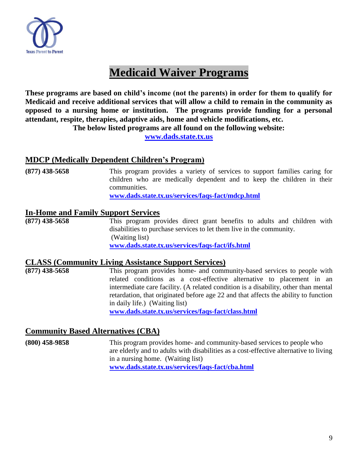

# **Medicaid Waiver Programs**

**These programs are based on child's income (not the parents) in order for them to qualify for Medicaid and receive additional services that will allow a child to remain in the community as opposed to a nursing home or institution. The programs provide funding for a personal attendant, respite, therapies, adaptive aids, home and vehicle modifications, etc.**

**The below listed programs are all found on the following website:**

**[www.dads.state.tx.us](http://www.dads.state.tx.us/)**

#### **MDCP (Medically Dependent Children's Program)**

| $(877)$ 438-5658 | This program provides a variety of services to support families caring for |
|------------------|----------------------------------------------------------------------------|
|                  | children who are medically dependent and to keep the children in their     |
|                  | communities.                                                               |
|                  | www.dads.state.tx.us/services/faqs-fact/mdcp.html                          |

#### **In-Home and Family Support Services**

**(877) 438-5658** This program provides direct grant benefits to adults and children with disabilities to purchase services to let them live in the community. (Waiting list) **[www.dads.state.tx.us/services/faqs-fact/ifs.html](http://www.dads.state.tx.us/services/faqs-fact/ifs.html)**

# **CLASS (Community Living Assistance Support Services)**<br>(877) 438-5658 This program provides home- and comn

This program provides home- and community-based services to people with related conditions as a cost-effective alternative to placement in an intermediate care facility. (A related condition is a disability, other than mental retardation, that originated before age 22 and that affects the ability to function in daily life.) (Waiting list) **[www.dads.state.tx.us/services/faqs-fact/class.html](http://www.dads.state.tx.us/services/faqs-fact/class.html)**

#### **Community Based Alternatives (CBA)**

**(800) 458-9858** This program provides home- and community-based services to people who are elderly and to adults with disabilities as a cost-effective alternative to living in a nursing home. (Waiting list) **[www.dads.state.tx.us/services/faqs-fact/cba.html](http://www.dads.state.tx.us/services/faqs-fact/cba.html)**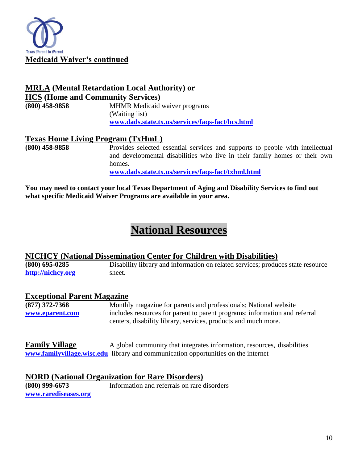

#### **MRLA (Mental Retardation Local Authority) or HCS (Home and Community Services)**

**(800) 458-9858** MHMR Medicaid waiver programs (Waiting list) **[www.dads.state.tx.us/services/faqs-fact/hcs.html](http://www.dads.state.tx.us/services/faqs-fact/hcs.html)**

#### **Texas Home Living Program (TxHmL)**

**(800) 458-9858** Provides selected essential services and supports to people with intellectual and developmental disabilities who live in their family homes or their own homes.

**[www.dads.state.tx.us/services/faqs-fact/txhml.html](http://www.dads.state.tx.us/services/faqs-fact/txhml.html)**

**You may need to contact your local Texas Department of Aging and Disability Services to find out what specific Medicaid Waiver Programs are available in your area.**

## **National Resources**

# **NICHCY (National Dissemination Center for Children with Disabilities)**<br>(800) 695-0285 **Disability library and information on related services**; production

**(800) 695-0285** Disability library and information on related services; produces state resource **[http://nichcy.org](http://nichcy.org/)** sheet.

#### **Exceptional Parent Magazine**

**(877) 372-7368** Monthly magazine for parents and professionals; National website **[www.eparent.com](http://www.eparent.com/)** includes resources for parent to parent programs; information and referral centers, disability library, services, products and much more.

**Family Village** A global community that integrates information, resources, disabilities **[www.familyvillage.wisc.edu](http://www.familyvillage.wisc.edu/)** library and communication opportunities on the internet

#### **NORD (National Organization for Rare Disorders)**

**[www.rarediseases.org](http://www.rarediseases.org/)**

**(800) 999-6673** Information and referrals on rare disorders